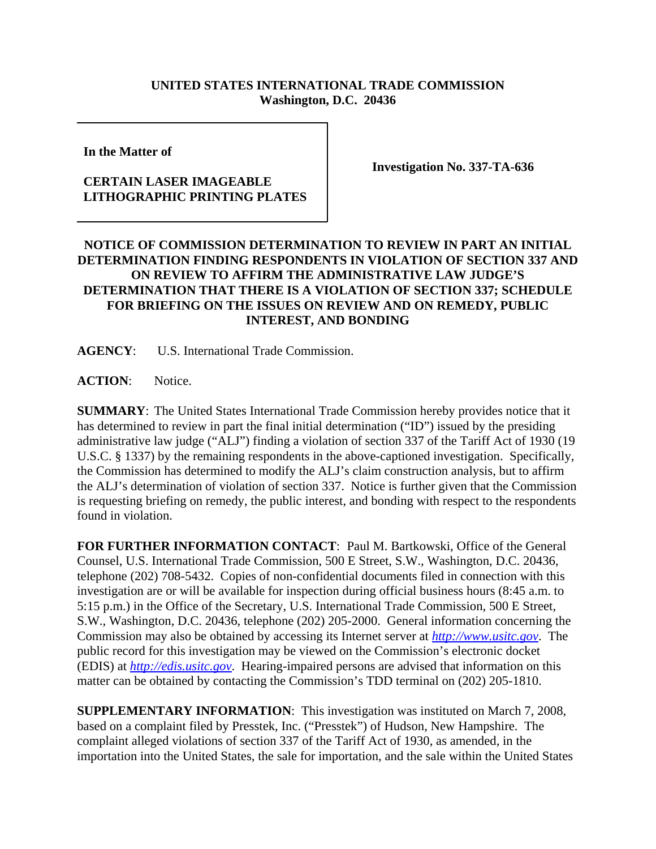## **UNITED STATES INTERNATIONAL TRADE COMMISSION Washington, D.C. 20436**

**In the Matter of** 

## **CERTAIN LASER IMAGEABLE LITHOGRAPHIC PRINTING PLATES**

**Investigation No. 337-TA-636**

## **NOTICE OF COMMISSION DETERMINATION TO REVIEW IN PART AN INITIAL DETERMINATION FINDING RESPONDENTS IN VIOLATION OF SECTION 337 AND ON REVIEW TO AFFIRM THE ADMINISTRATIVE LAW JUDGE'S DETERMINATION THAT THERE IS A VIOLATION OF SECTION 337; SCHEDULE FOR BRIEFING ON THE ISSUES ON REVIEW AND ON REMEDY, PUBLIC INTEREST, AND BONDING**

**AGENCY**: U.S. International Trade Commission.

**ACTION**: Notice.

**SUMMARY**: The United States International Trade Commission hereby provides notice that it has determined to review in part the final initial determination ("ID") issued by the presiding administrative law judge ("ALJ") finding a violation of section 337 of the Tariff Act of 1930 (19 U.S.C. § 1337) by the remaining respondents in the above-captioned investigation. Specifically, the Commission has determined to modify the ALJ's claim construction analysis, but to affirm the ALJ's determination of violation of section 337. Notice is further given that the Commission is requesting briefing on remedy, the public interest, and bonding with respect to the respondents found in violation.

**FOR FURTHER INFORMATION CONTACT**: Paul M. Bartkowski, Office of the General Counsel, U.S. International Trade Commission, 500 E Street, S.W., Washington, D.C. 20436, telephone (202) 708-5432. Copies of non-confidential documents filed in connection with this investigation are or will be available for inspection during official business hours (8:45 a.m. to 5:15 p.m.) in the Office of the Secretary, U.S. International Trade Commission, 500 E Street, S.W., Washington, D.C. 20436, telephone (202) 205-2000. General information concerning the Commission may also be obtained by accessing its Internet server at *http://www.usitc.gov*. The public record for this investigation may be viewed on the Commission's electronic docket (EDIS) at *http://edis.usitc.gov*. Hearing-impaired persons are advised that information on this matter can be obtained by contacting the Commission's TDD terminal on (202) 205-1810.

**SUPPLEMENTARY INFORMATION**: This investigation was instituted on March 7, 2008, based on a complaint filed by Presstek, Inc. ("Presstek") of Hudson, New Hampshire. The complaint alleged violations of section 337 of the Tariff Act of 1930, as amended, in the importation into the United States, the sale for importation, and the sale within the United States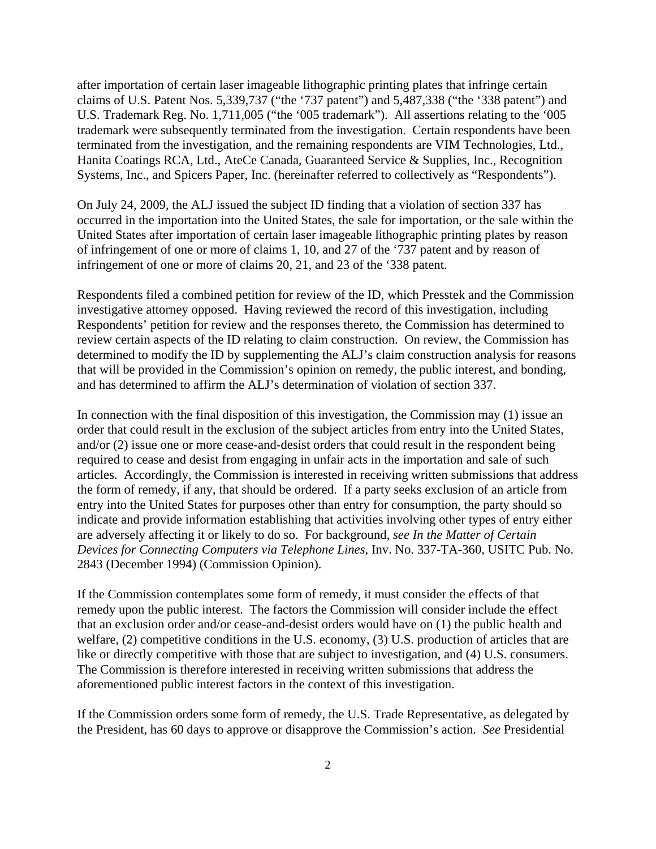after importation of certain laser imageable lithographic printing plates that infringe certain claims of U.S. Patent Nos. 5,339,737 ("the '737 patent") and 5,487,338 ("the '338 patent") and U.S. Trademark Reg. No. 1,711,005 ("the '005 trademark"). All assertions relating to the '005 trademark were subsequently terminated from the investigation. Certain respondents have been terminated from the investigation, and the remaining respondents are VIM Technologies, Ltd., Hanita Coatings RCA, Ltd., AteCe Canada, Guaranteed Service & Supplies, Inc., Recognition Systems, Inc., and Spicers Paper, Inc. (hereinafter referred to collectively as "Respondents").

On July 24, 2009, the ALJ issued the subject ID finding that a violation of section 337 has occurred in the importation into the United States, the sale for importation, or the sale within the United States after importation of certain laser imageable lithographic printing plates by reason of infringement of one or more of claims 1, 10, and 27 of the '737 patent and by reason of infringement of one or more of claims 20, 21, and 23 of the '338 patent.

Respondents filed a combined petition for review of the ID, which Presstek and the Commission investigative attorney opposed. Having reviewed the record of this investigation, including Respondents' petition for review and the responses thereto, the Commission has determined to review certain aspects of the ID relating to claim construction. On review, the Commission has determined to modify the ID by supplementing the ALJ's claim construction analysis for reasons that will be provided in the Commission's opinion on remedy, the public interest, and bonding, and has determined to affirm the ALJ's determination of violation of section 337.

In connection with the final disposition of this investigation, the Commission may (1) issue an order that could result in the exclusion of the subject articles from entry into the United States, and/or (2) issue one or more cease-and-desist orders that could result in the respondent being required to cease and desist from engaging in unfair acts in the importation and sale of such articles. Accordingly, the Commission is interested in receiving written submissions that address the form of remedy, if any, that should be ordered. If a party seeks exclusion of an article from entry into the United States for purposes other than entry for consumption, the party should so indicate and provide information establishing that activities involving other types of entry either are adversely affecting it or likely to do so. For background, *see In the Matter of Certain Devices for Connecting Computers via Telephone Lines*, Inv. No. 337-TA-360, USITC Pub. No. 2843 (December 1994) (Commission Opinion).

If the Commission contemplates some form of remedy, it must consider the effects of that remedy upon the public interest. The factors the Commission will consider include the effect that an exclusion order and/or cease-and-desist orders would have on (1) the public health and welfare, (2) competitive conditions in the U.S. economy, (3) U.S. production of articles that are like or directly competitive with those that are subject to investigation, and (4) U.S. consumers. The Commission is therefore interested in receiving written submissions that address the aforementioned public interest factors in the context of this investigation.

If the Commission orders some form of remedy, the U.S. Trade Representative, as delegated by the President, has 60 days to approve or disapprove the Commission's action. *See* Presidential